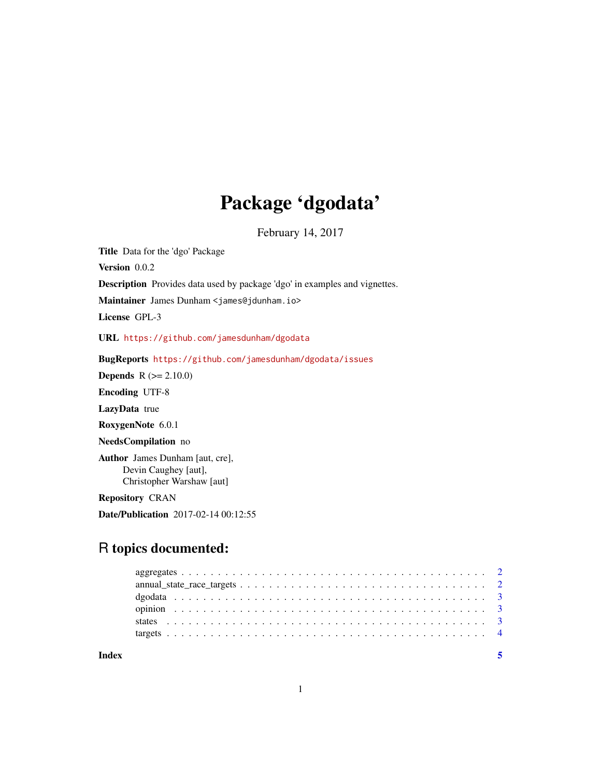## Package 'dgodata'

February 14, 2017

Title Data for the 'dgo' Package Version 0.0.2 Description Provides data used by package 'dgo' in examples and vignettes. Maintainer James Dunham <james@jdunham.io> License GPL-3 URL <https://github.com/jamesdunham/dgodata> BugReports <https://github.com/jamesdunham/dgodata/issues> Depends R (>= 2.10.0) Encoding UTF-8 LazyData true RoxygenNote 6.0.1 NeedsCompilation no Author James Dunham [aut, cre], Devin Caughey [aut], Christopher Warshaw [aut] Repository CRAN Date/Publication 2017-02-14 00:12:55

### R topics documented: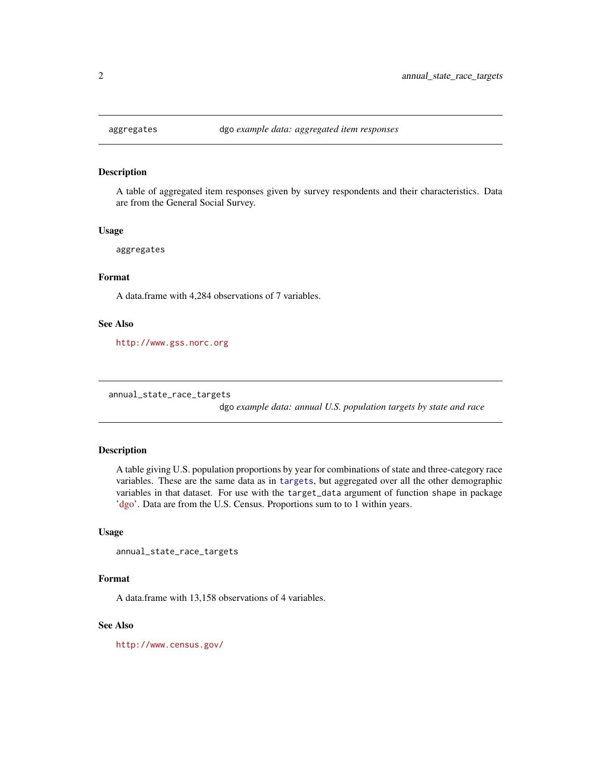<span id="page-1-0"></span>

#### **Description**

A table of aggregated item responses given by survey respondents and their characteristics. Data are from the General Social Survey.

#### Usage

aggregates

#### Format

A data.frame with 4,284 observations of 7 variables.

#### See Also

<http://www.gss.norc.org>

annual\_state\_race\_targets

dgo *example data: annual U.S. population targets by state and race*

#### Description

A table giving U.S. population proportions by year for combinations of state and three-category race variables. These are the same data as in [targets](#page-3-1), but aggregated over all the other demographic variables in that dataset. For use with the target\_data argument of function shape in package ['dgo'](https://jdunham.io/dgo/). Data are from the U.S. Census. Proportions sum to to 1 within years.

#### Usage

```
annual_state_race_targets
```
#### Format

A data.frame with 13,158 observations of 4 variables.

#### See Also

<http://www.census.gov/>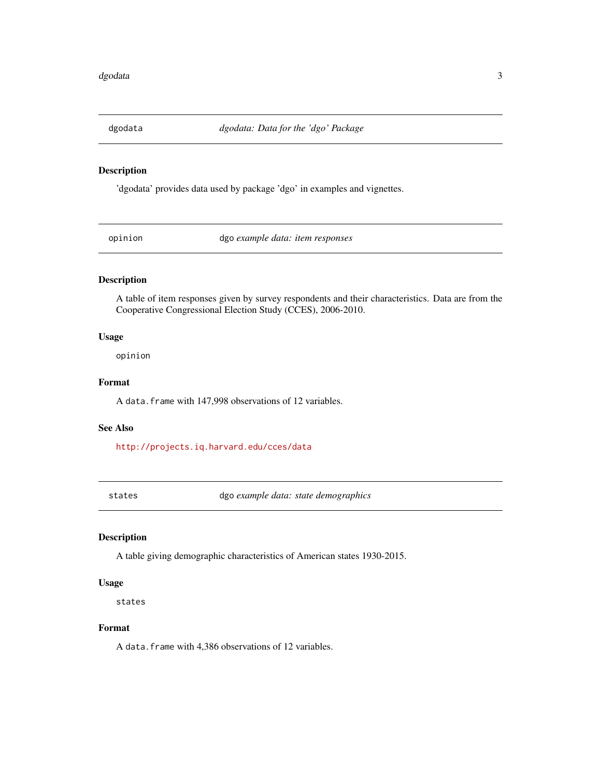<span id="page-2-0"></span>

#### Description

'dgodata' provides data used by package 'dgo' in examples and vignettes.

opinion dgo *example data: item responses*

#### Description

A table of item responses given by survey respondents and their characteristics. Data are from the Cooperative Congressional Election Study (CCES), 2006-2010.

#### Usage

opinion

#### Format

A data.frame with 147,998 observations of 12 variables.

#### See Also

<http://projects.iq.harvard.edu/cces/data>

states dgo *example data: state demographics*

#### Description

A table giving demographic characteristics of American states 1930-2015.

#### Usage

states

#### Format

A data.frame with 4,386 observations of 12 variables.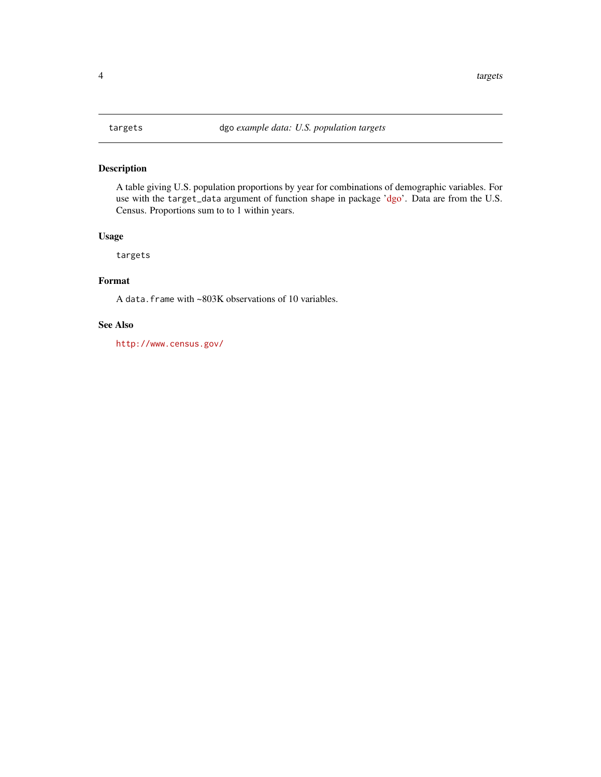#### <span id="page-3-1"></span><span id="page-3-0"></span>Description

A table giving U.S. population proportions by year for combinations of demographic variables. For use with the target\_data argument of function shape in package ['dgo'](https://jdunham.io/dgo/). Data are from the U.S. Census. Proportions sum to to 1 within years.

#### Usage

targets

### Format

A data.frame with ~803K observations of 10 variables.

#### See Also

<http://www.census.gov/>